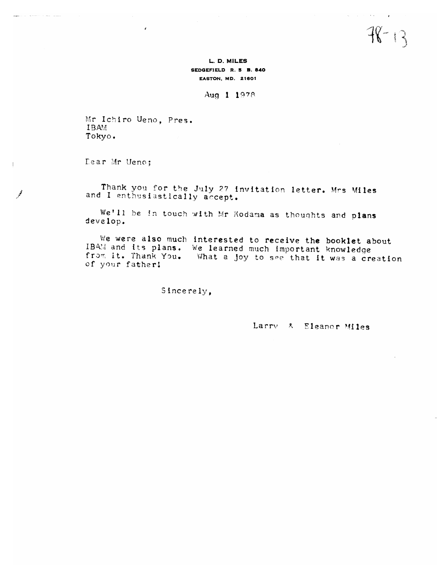$78 - 13$ 

L. D. MILES SEDGEFIELD R. 5 B. 840 **EASTON, MD. 21601** 

Aug 1 1978

Mr Ichiro Ueno. Pres. **IBAM** Tokyo.

 $\mathbf{z}$ 

Lear Mr Ueno:

Thank you for the July 27 invitation letter. Mrs Miles and I enthusiastically accept.

We'll be in touch with Mr Kodama as thoughts and plans develop.

We were also much interested to receive the booklet about IBAM and its plans. We learned much important knowledge from it. Thank You. What a joy to see that it was a creation of your father!

Sincerely,

Larry & Eleanor Miles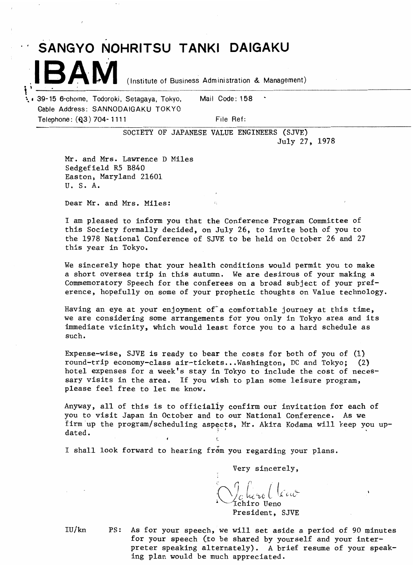## **IBAM** (Institute of Business Administration & Management)

t **a** 39- 15 6-chome, Todoroki, Setagaya, Tokyo, Mail Code : 1 **<sup>58</sup>** Gable Address: SANNODAIGAKU TOKYO Telephone: **(Q3) 704-1111** File Ref:

SOCIETY OF JAPANESE VALUE ENGINEERS (SJVE) July 27, 1978

Mr. and Mrs. Lawrence D Miles Sedgefield R5 B840 Easton, Maryland 21601 U, S. A,

Dear Mr. and Mrs. Miles:

I am pleased to inform you that the Conference Program Committee of this Society formally decided, on July 26, to invite both of you to the 1978 National Conference of SJVE to be held on October 26 and 27 this year in Tokyo.

We sincerely hope that your health conditions would permit you to make a short oversea trip in this autumn. We are desirous of your making a Commemoratory Speech for the conferees on a broad subject of your preference, hopefully on some of your prophetic thoughts on Value technology.

Having an eye at your enjoyment of a comfortable journey at this time, we are considering some arrangements for you only in Tokyo area and its immediate vicinity, which would least force you to a hard schedule as such.

Expense-wise, SJVE is ready to bear the costs for both of you of  $(1)$ round-trip economy-class air-tickets ... Washington, DC and Tokyo; (2) hotel expenses for a week's stay in Tokyo to include the cost of necessary visits in the area. If you wish to plan some leisure program, please feel free to let me know,

Anyway, all of this is to officially confirm our inyitation for each of you to visit Japan in October and to our National Conference. As we firm up the program/scheduling aspects, Mr. Akira Kodama will keep you up-<br>dated.

I shall look forward to hearing from you regarding your plans.

Very sincerely,

Laherol temo .<br>hiro Ueno

President, SJVE

IU/ kn PS: As for your speech, we will set aside a period of 90 minutes for your speech (to be shared by yourself and your interpreter speaking alternately). A brief resume of your speaking plan would be much appreciated.